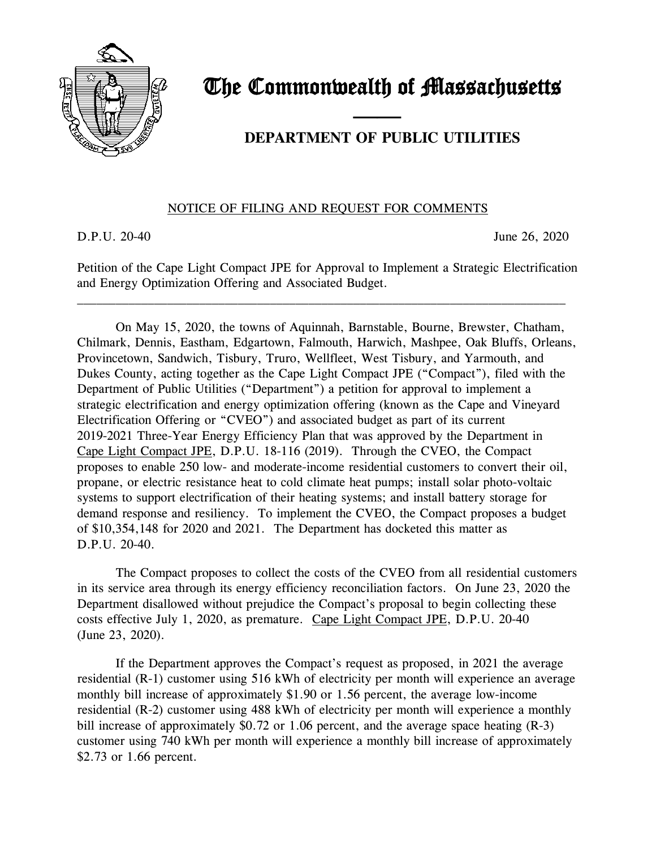

# The Commonwealth of Massachusetts

## and the contract of the contract of **DEPARTMENT OF PUBLIC UTILITIES**

### NOTICE OF FILING AND REQUEST FOR COMMENTS

D.P.U. 20-40 June 26, 2020

Petition of the Cape Light Compact JPE for Approval to Implement a Strategic Electrification and Energy Optimization Offering and Associated Budget.

\_\_\_\_\_\_\_\_\_\_\_\_\_\_\_\_\_\_\_\_\_\_\_\_\_\_\_\_\_\_\_\_\_\_\_\_\_\_\_\_\_\_\_\_\_\_\_\_\_\_\_\_\_\_\_\_\_\_\_\_\_\_\_\_\_\_\_\_\_\_\_\_\_\_\_\_

On May 15, 2020, the towns of Aquinnah, Barnstable, Bourne, Brewster, Chatham, Chilmark, Dennis, Eastham, Edgartown, Falmouth, Harwich, Mashpee, Oak Bluffs, Orleans, Provincetown, Sandwich, Tisbury, Truro, Wellfleet, West Tisbury, and Yarmouth, and Dukes County, acting together as the Cape Light Compact JPE ("Compact"), filed with the Department of Public Utilities ("Department") a petition for approval to implement a strategic electrification and energy optimization offering (known as the Cape and Vineyard Electrification Offering or "CVEO") and associated budget as part of its current 2019-2021 Three-Year Energy Efficiency Plan that was approved by the Department in Cape Light Compact JPE, D.P.U. 18-116 (2019). Through the CVEO, the Compact proposes to enable 250 low- and moderate-income residential customers to convert their oil, propane, or electric resistance heat to cold climate heat pumps; install solar photo-voltaic systems to support electrification of their heating systems; and install battery storage for demand response and resiliency. To implement the CVEO, the Compact proposes a budget of \$10,354,148 for 2020 and 2021. The Department has docketed this matter as D.P.U. 20-40.

The Compact proposes to collect the costs of the CVEO from all residential customers in its service area through its energy efficiency reconciliation factors. On June 23, 2020 the Department disallowed without prejudice the Compact's proposal to begin collecting these costs effective July 1, 2020, as premature. Cape Light Compact JPE, D.P.U. 20-40 (June 23, 2020).

If the Department approves the Compact's request as proposed, in 2021 the average residential (R-1) customer using 516 kWh of electricity per month will experience an average monthly bill increase of approximately \$1.90 or 1.56 percent, the average low-income residential (R-2) customer using 488 kWh of electricity per month will experience a monthly bill increase of approximately \$0.72 or 1.06 percent, and the average space heating (R-3) customer using 740 kWh per month will experience a monthly bill increase of approximately \$2.73 or 1.66 percent.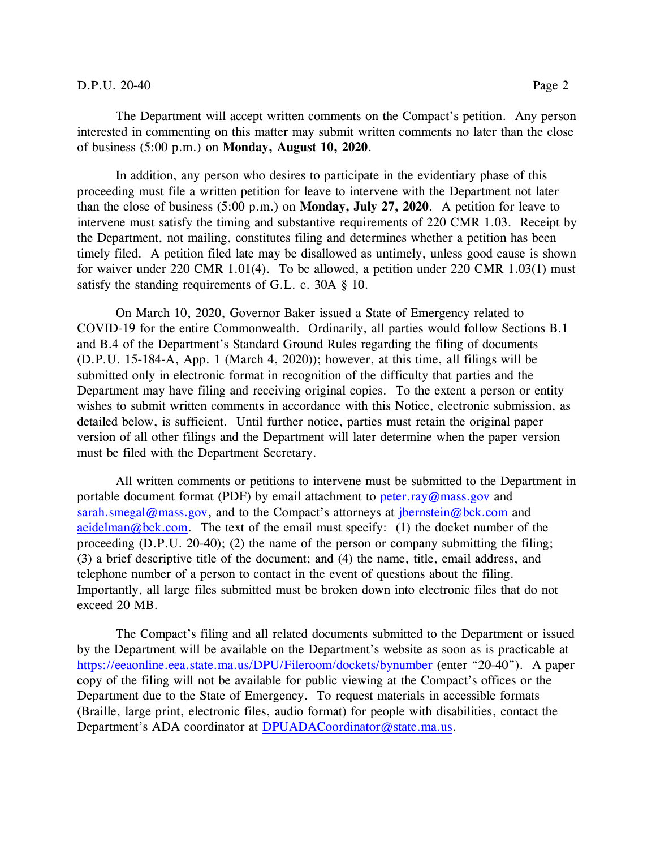#### D.P.U. 20-40 Page 2

The Department will accept written comments on the Compact's petition. Any person interested in commenting on this matter may submit written comments no later than the close of business (5:00 p.m.) on **Monday, August 10, 2020**.

In addition, any person who desires to participate in the evidentiary phase of this proceeding must file a written petition for leave to intervene with the Department not later than the close of business (5:00 p.m.) on **Monday, July 27, 2020**. A petition for leave to intervene must satisfy the timing and substantive requirements of 220 CMR 1.03. Receipt by the Department, not mailing, constitutes filing and determines whether a petition has been timely filed. A petition filed late may be disallowed as untimely, unless good cause is shown for waiver under 220 CMR 1.01(4). To be allowed, a petition under 220 CMR 1.03(1) must satisfy the standing requirements of G.L. c. 30A § 10.

On March 10, 2020, Governor Baker issued a State of Emergency related to COVID-19 for the entire Commonwealth. Ordinarily, all parties would follow Sections B.1 and B.4 of the Department's Standard Ground Rules regarding the filing of documents (D.P.U. 15-184-A, App. 1 (March 4, 2020)); however, at this time, all filings will be submitted only in electronic format in recognition of the difficulty that parties and the Department may have filing and receiving original copies. To the extent a person or entity wishes to submit written comments in accordance with this Notice, electronic submission, as detailed below, is sufficient. Until further notice, parties must retain the original paper version of all other filings and the Department will later determine when the paper version must be filed with the Department Secretary.

All written comments or petitions to intervene must be submitted to the Department in portable document format (PDF) by email attachment to [peter.ray@mass.gov](mailto:peter.ray@mass.gov) and [sarah.smegal@mass.gov,](mailto:sarah.smegal@mass.gov) and to the Compact's attorneys at [jbernstein@bck.com](mailto:jbernstein@bck.com) and [aeidelman@bck.com.](mailto:aeidelman@bck.com) The text of the email must specify: (1) the docket number of the proceeding (D.P.U. 20-40); (2) the name of the person or company submitting the filing; (3) a brief descriptive title of the document; and (4) the name, title, email address, and telephone number of a person to contact in the event of questions about the filing. Importantly, all large files submitted must be broken down into electronic files that do not exceed 20 MB.

The Compact's filing and all related documents submitted to the Department or issued by the Department will be available on the Department's website as soon as is practicable at <https://eeaonline.eea.state.ma.us/DPU/Fileroom/dockets/bynumber> (enter "20-40"). A paper copy of the filing will not be available for public viewing at the Compact's offices or the Department due to the State of Emergency. To request materials in accessible formats (Braille, large print, electronic files, audio format) for people with disabilities, contact the Department's ADA coordinator at [DPUADACoordinator@state.ma.us.](mailto:DPUADACoordinator@state.ma.us)